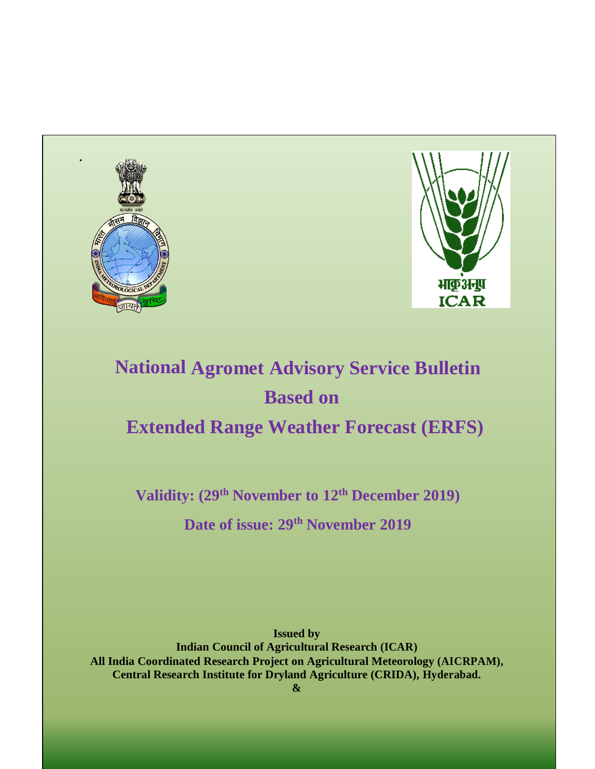



# **National Agromet Advisory Service Bulletin Based on Extended Range Weather Forecast (ERFS)**

**Validity: (29 th November to 12th December 2019)**

**Date of issue: 29 th November 2019**

**Issued by Indian Council of Agricultural Research (ICAR) All India Coordinated Research Project on Agricultural Meteorology (AICRPAM), Central Research Institute for Dryland Agriculture (CRIDA), Hyderabad.**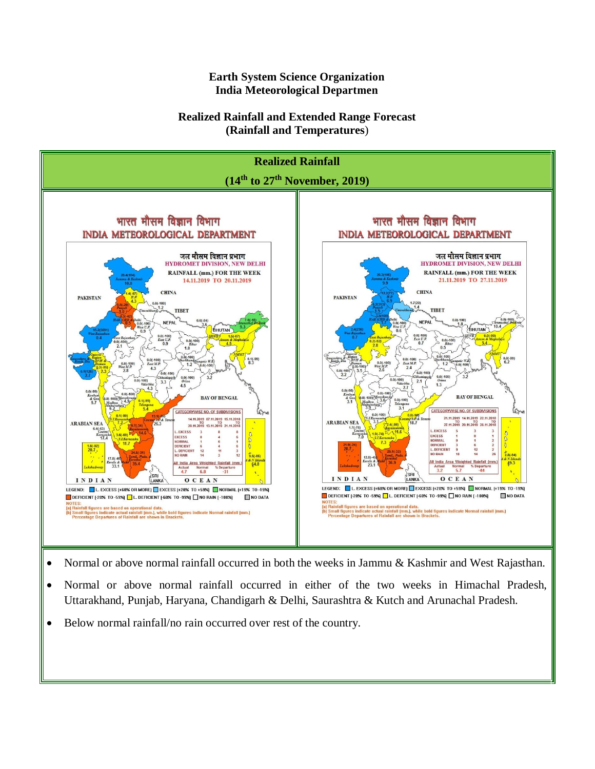**Earth System Science Organization India Meteorological Departmen**

#### **Realized Rainfall and Extended Range Forecast (Rainfall and Temperatures**)



- Normal or above normal rainfall occurred in both the weeks in Jammu & Kashmir and West Rajasthan.
- Normal or above normal rainfall occurred in either of the two weeks in Himachal Pradesh, Uttarakhand, Punjab, Haryana, Chandigarh & Delhi, Saurashtra & Kutch and Arunachal Pradesh.
- Below normal rainfall/no rain occurred over rest of the country.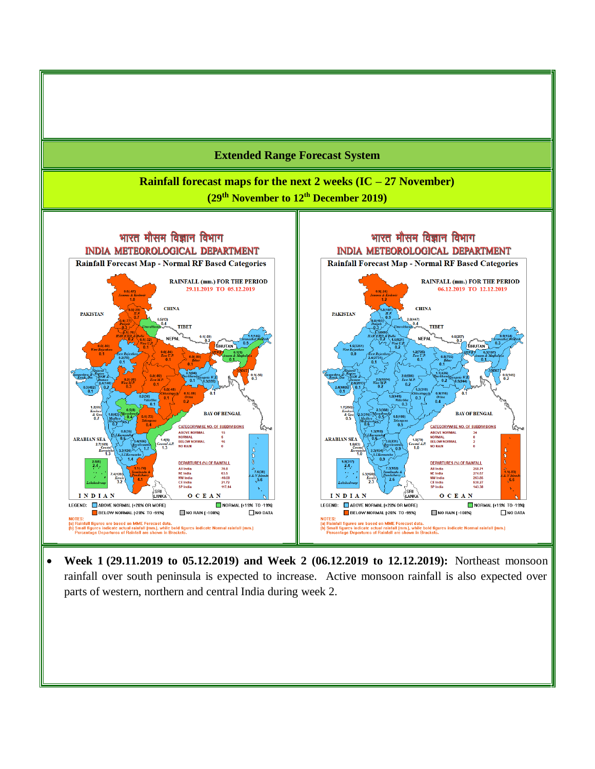

 **Week 1 (29.11.2019 to 05.12.2019) and Week 2 (06.12.2019 to 12.12.2019):** Northeast monsoon rainfall over south peninsula is expected to increase. Active monsoon rainfall is also expected over parts of western, northern and central India during week 2.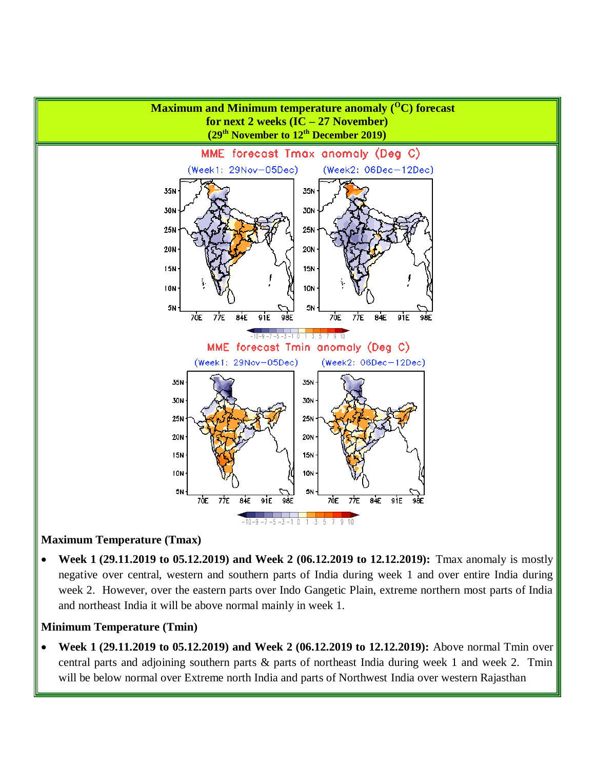

#### **Maximum Temperature (Tmax)**

 **Week 1 (29.11.2019 to 05.12.2019) and Week 2 (06.12.2019 to 12.12.2019):** Tmax anomaly is mostly negative over central, western and southern parts of India during week 1 and over entire India during week 2. However, over the eastern parts over Indo Gangetic Plain, extreme northern most parts of India and northeast India it will be above normal mainly in week 1.

#### **Minimum Temperature (Tmin)**

 **Week 1 (29.11.2019 to 05.12.2019) and Week 2 (06.12.2019 to 12.12.2019):** Above normal Tmin over central parts and adjoining southern parts & parts of northeast India during week 1 and week 2. Tmin will be below normal over Extreme north India and parts of Northwest India over western Rajasthan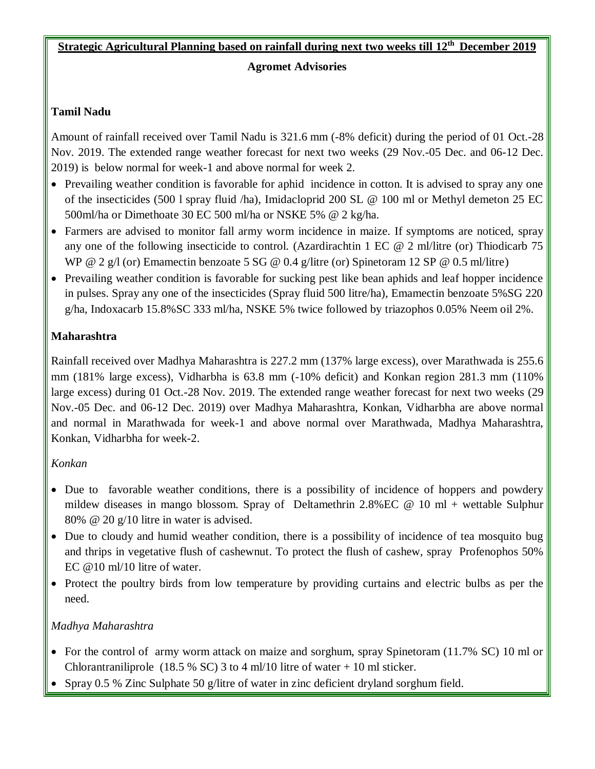# **Strategic Agricultural Planning based on rainfall during next two weeks till 12th December 2019**

#### **Agromet Advisories**

# **Tamil Nadu**

Amount of rainfall received over Tamil Nadu is 321.6 mm (-8% deficit) during the period of 01 Oct.-28 Nov. 2019. The extended range weather forecast for next two weeks (29 Nov.-05 Dec. and 06-12 Dec. 2019) is below normal for week-1 and above normal for week 2.

- Prevailing weather condition is favorable for aphid incidence in cotton. It is advised to spray any one of the insecticides (500 l spray fluid /ha), Imidacloprid 200 SL @ 100 ml or Methyl demeton 25 EC 500ml/ha or Dimethoate 30 EC 500 ml/ha or NSKE 5% @ 2 kg/ha.
- Farmers are advised to monitor fall army worm incidence in maize. If symptoms are noticed, spray any one of the following insecticide to control. (Azardirachtin 1 EC @ 2 ml/litre (or) Thiodicarb 75 WP @ 2 g/l (or) Emamectin benzoate 5 SG @ 0.4 g/litre (or) Spinetoram 12 SP @ 0.5 ml/litre)
- Prevailing weather condition is favorable for sucking pest like bean aphids and leaf hopper incidence in pulses. Spray any one of the insecticides (Spray fluid 500 litre/ha), Emamectin benzoate 5%SG 220 g/ha, Indoxacarb 15.8%SC 333 ml/ha, NSKE 5% twice followed by triazophos 0.05% Neem oil 2%.

# **Maharashtra**

Rainfall received over Madhya Maharashtra is 227.2 mm (137% large excess), over Marathwada is 255.6 mm (181% large excess), Vidharbha is 63.8 mm (-10% deficit) and Konkan region 281.3 mm (110% large excess) during 01 Oct.-28 Nov. 2019. The extended range weather forecast for next two weeks (29 Nov.-05 Dec. and 06-12 Dec. 2019) over Madhya Maharashtra, Konkan, Vidharbha are above normal and normal in Marathwada for week-1 and above normal over Marathwada, Madhya Maharashtra, Konkan, Vidharbha for week-2.

# *Konkan*

- Due to favorable weather conditions, there is a possibility of incidence of hoppers and powdery mildew diseases in mango blossom. Spray of Deltamethrin 2.8%EC @ 10 ml + wettable Sulphur 80% @ 20 g/10 litre in water is advised.
- Due to cloudy and humid weather condition, there is a possibility of incidence of tea mosquito bug and thrips in vegetative flush of cashewnut. To protect the flush of cashew, spray Profenophos 50% EC @10 ml/10 litre of water.
- Protect the poultry birds from low temperature by providing curtains and electric bulbs as per the need.

# *Madhya Maharashtra*

- For the control of army worm attack on maize and sorghum, spray Spinetoram (11.7% SC) 10 ml or Chlorantraniliprole (18.5 % SC) 3 to 4 ml/10 litre of water  $+$  10 ml sticker.
- Spray 0.5 % Zinc Sulphate 50 g/litre of water in zinc deficient dryland sorghum field.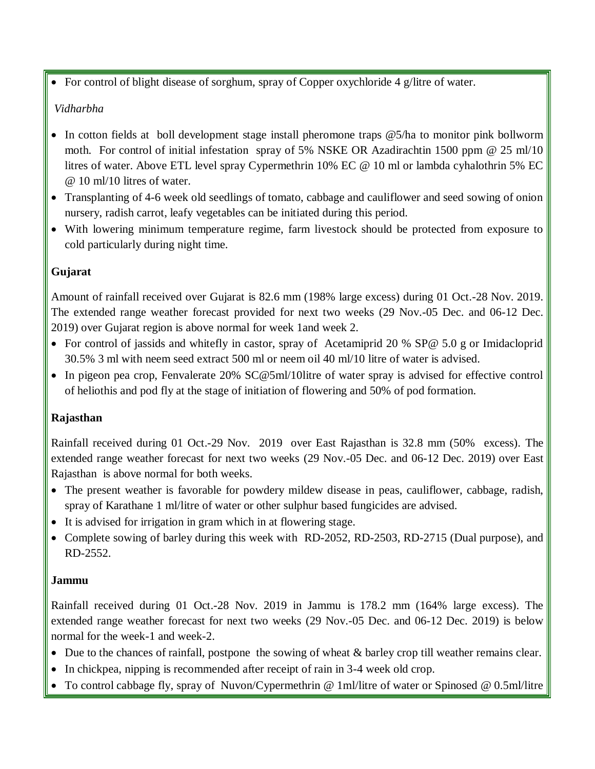For control of blight disease of sorghum, spray of Copper oxychloride 4 g/litre of water.

#### *Vidharbha*

- In cotton fields at boll development stage install pheromone traps  $\mathcal{O}(5/h)$  to monitor pink bollworm moth. For control of initial infestation spray of 5% NSKE OR Azadirachtin 1500 ppm @ 25 ml/10 litres of water. Above ETL level spray Cypermethrin 10% EC @ 10 ml or lambda cyhalothrin 5% EC @ 10 ml/10 litres of water.
- Transplanting of 4-6 week old seedlings of tomato, cabbage and cauliflower and seed sowing of onion nursery, radish carrot, leafy vegetables can be initiated during this period.
- With lowering minimum temperature regime, farm livestock should be protected from exposure to cold particularly during night time.

# **Gujarat**

Amount of rainfall received over Gujarat is 82.6 mm (198% large excess) during 01 Oct.-28 Nov. 2019. The extended range weather forecast provided for next two weeks (29 Nov.-05 Dec. and 06-12 Dec. 2019) over Gujarat region is above normal for week 1and week 2.

- For control of jassids and whitefly in castor, spray of Acetamiprid 20 % SP@ 5.0 g or Imidacloprid 30.5% 3 ml with neem seed extract 500 ml or neem oil 40 ml/10 litre of water is advised.
- In pigeon pea crop, Fenvalerate 20% SC@5ml/10litre of water spray is advised for effective control of heliothis and pod fly at the stage of initiation of flowering and 50% of pod formation.

# **Rajasthan**

Rainfall received during 01 Oct.-29 Nov. 2019 over East Rajasthan is 32.8 mm (50% excess). The extended range weather forecast for next two weeks (29 Nov.-05 Dec. and 06-12 Dec. 2019) over East Rajasthan is above normal for both weeks.

- The present weather is favorable for powdery mildew disease in peas, cauliflower, cabbage, radish, spray of Karathane 1 ml/litre of water or other sulphur based fungicides are advised.
- It is advised for irrigation in gram which in at flowering stage.
- Complete sowing of barley during this week with RD-2052, RD-2503, RD-2715 (Dual purpose), and RD-2552.

#### **Jammu**

Rainfall received during 01 Oct.-28 Nov. 2019 in Jammu is 178.2 mm (164% large excess). The extended range weather forecast for next two weeks (29 Nov.-05 Dec. and 06-12 Dec. 2019) is below normal for the week-1 and week-2.

- $\bullet$  Due to the chances of rainfall, postpone the sowing of wheat  $\&$  barley crop till weather remains clear.
- In chickpea, nipping is recommended after receipt of rain in 3-4 week old crop.
- To control cabbage fly, spray of Nuvon/Cypermethrin @ 1ml/litre of water or Spinosed @ 0.5ml/litre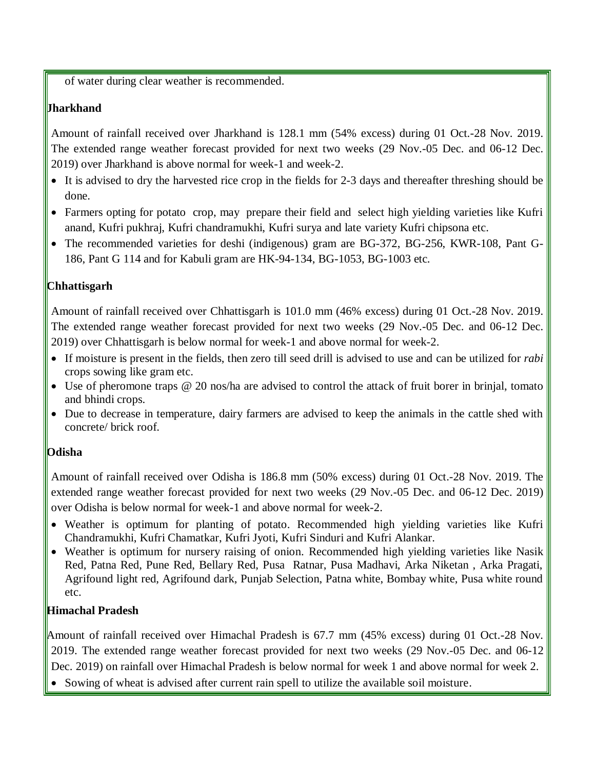of water during clear weather is recommended.

# **Jharkhand**

Amount of rainfall received over Jharkhand is 128.1 mm (54% excess) during 01 Oct.-28 Nov. 2019. The extended range weather forecast provided for next two weeks (29 Nov.-05 Dec. and 06-12 Dec. 2019) over Jharkhand is above normal for week-1 and week-2.

- It is advised to dry the harvested rice crop in the fields for 2-3 days and thereafter threshing should be done.
- Farmers opting for potato crop, may prepare their field and select high yielding varieties like Kufri anand, Kufri pukhraj, Kufri chandramukhi, Kufri surya and late variety Kufri chipsona etc.
- The recommended varieties for deshi (indigenous) gram are BG-372, BG-256, KWR-108, Pant G-186, Pant G 114 and for Kabuli gram are HK-94-134, BG-1053, BG-1003 etc.

# **Chhattisgarh**

Amount of rainfall received over Chhattisgarh is 101.0 mm (46% excess) during 01 Oct.-28 Nov. 2019. The extended range weather forecast provided for next two weeks (29 Nov.-05 Dec. and 06-12 Dec. 2019) over Chhattisgarh is below normal for week-1 and above normal for week-2.

- If moisture is present in the fields, then zero till seed drill is advised to use and can be utilized for *rabi*  crops sowing like gram etc.
- Use of pheromone traps @ 20 nos/ha are advised to control the attack of fruit borer in brinjal, tomato and bhindi crops.
- Due to decrease in temperature, dairy farmers are advised to keep the animals in the cattle shed with concrete/ brick roof.

# **Odisha**

Amount of rainfall received over Odisha is 186.8 mm (50% excess) during 01 Oct.-28 Nov. 2019. The extended range weather forecast provided for next two weeks (29 Nov.-05 Dec. and 06-12 Dec. 2019) over Odisha is below normal for week-1 and above normal for week-2.

- Weather is optimum for planting of potato. Recommended high yielding varieties like Kufri Chandramukhi, Kufri Chamatkar, Kufri Jyoti, Kufri Sinduri and Kufri Alankar.
- Weather is optimum for nursery raising of onion. Recommended high yielding varieties like Nasik Red, Patna Red, Pune Red, Bellary Red, Pusa Ratnar, Pusa Madhavi, Arka Niketan , Arka Pragati, Agrifound light red, Agrifound dark, Punjab Selection, Patna white, Bombay white, Pusa white round etc.

# **Himachal Pradesh**

Amount of rainfall received over Himachal Pradesh is 67.7 mm (45% excess) during 01 Oct.-28 Nov. 2019. The extended range weather forecast provided for next two weeks (29 Nov.-05 Dec. and 06-12 Dec. 2019) on rainfall over Himachal Pradesh is below normal for week 1 and above normal for week 2.

Sowing of wheat is advised after current rain spell to utilize the available soil moisture.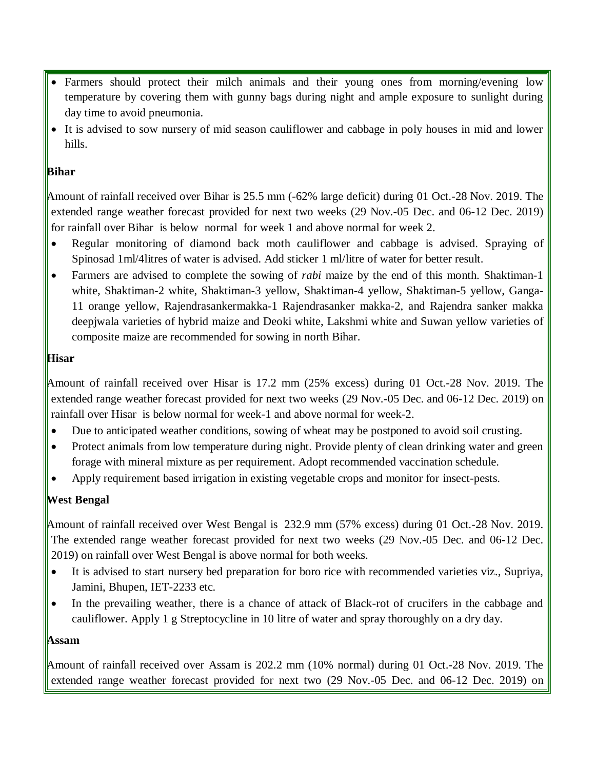- Farmers should protect their milch animals and their young ones from morning/evening low temperature by covering them with gunny bags during night and ample exposure to sunlight during day time to avoid pneumonia.
- It is advised to sow nursery of mid season cauliflower and cabbage in poly houses in mid and lower hills.

# **Bihar**

Amount of rainfall received over Bihar is 25.5 mm (-62% large deficit) during 01 Oct.-28 Nov. 2019. The extended range weather forecast provided for next two weeks (29 Nov.-05 Dec. and 06-12 Dec. 2019) for rainfall over Bihar is below normal for week 1 and above normal for week 2.

- Regular monitoring of diamond back moth cauliflower and cabbage is advised. Spraying of Spinosad 1ml/4litres of water is advised. Add sticker 1 ml/litre of water for better result.
- Farmers are advised to complete the sowing of *rabi* maize by the end of this month. Shaktiman-1 white, Shaktiman-2 white, Shaktiman-3 yellow, Shaktiman-4 yellow, Shaktiman-5 yellow, Ganga-11 orange yellow, Rajendrasankermakka-1 Rajendrasanker makka-2, and Rajendra sanker makka deepjwala varieties of hybrid maize and Deoki white, Lakshmi white and Suwan yellow varieties of composite maize are recommended for sowing in north Bihar.

# **Hisar**

Amount of rainfall received over Hisar is 17.2 mm (25% excess) during 01 Oct.-28 Nov. 2019. The extended range weather forecast provided for next two weeks (29 Nov.-05 Dec. and 06-12 Dec. 2019) on rainfall over Hisar is below normal for week-1 and above normal for week-2.

- Due to anticipated weather conditions, sowing of wheat may be postponed to avoid soil crusting.
- Protect animals from low temperature during night. Provide plenty of clean drinking water and green forage with mineral mixture as per requirement. Adopt recommended vaccination schedule.
- Apply requirement based irrigation in existing vegetable crops and monitor for insect-pests.

# **West Bengal**

Amount of rainfall received over West Bengal is 232.9 mm (57% excess) during 01 Oct.-28 Nov. 2019. The extended range weather forecast provided for next two weeks (29 Nov.-05 Dec. and 06-12 Dec. 2019) on rainfall over West Bengal is above normal for both weeks.

- It is advised to start nursery bed preparation for boro rice with recommended varieties viz., Supriya, Jamini, Bhupen, IET-2233 etc.
- In the prevailing weather, there is a chance of attack of Black-rot of crucifers in the cabbage and cauliflower. Apply 1 g Streptocycline in 10 litre of water and spray thoroughly on a dry day.

#### **Assam**

Amount of rainfall received over Assam is 202.2 mm (10% normal) during 01 Oct.-28 Nov. 2019. The extended range weather forecast provided for next two (29 Nov.-05 Dec. and 06-12 Dec. 2019) on